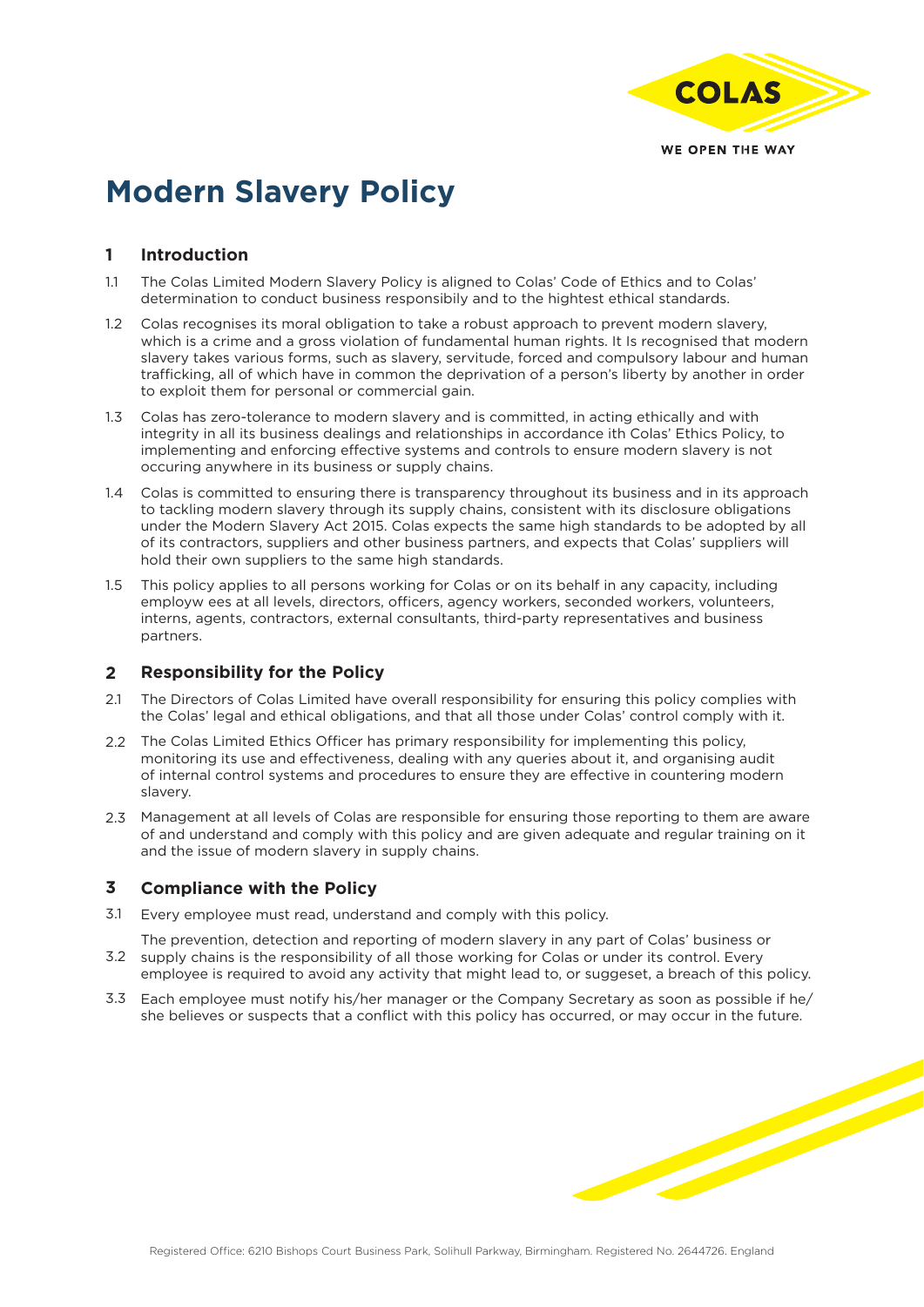

# **Modern Slavery Policy**

## **Introduction 1**

- The Colas Limited Modern Slavery Policy is aligned to Colas' Code of Ethics and to Colas' determination to conduct business responsibily and to the hightest ethical standards. 1.1
- Colas recognises its moral obligation to take a robust approach to prevent modern slavery, which is a crime and a gross violation of fundamental human rights. It Is recognised that modern slavery takes various forms, such as slavery, servitude, forced and compulsory labour and human trafficking, all of which have in common the deprivation of a person's liberty by another in order to exploit them for personal or commercial gain.  $12<sup>2</sup>$
- Colas has zero-tolerance to modern slavery and is committed, in acting ethically and with 1.3 integrity in all its business dealings and relationships in accordance ith Colas' Ethics Policy, to implementing and enforcing effective systems and controls to ensure modern slavery is not occuring anywhere in its business or supply chains.
- Colas is committed to ensuring there is transparency throughout its business and in its approach 1.4 to tackling modern slavery through its supply chains, consistent with its disclosure obligations under the Modern Slavery Act 2015. Colas expects the same high standards to be adopted by all of its contractors, suppliers and other business partners, and expects that Colas' suppliers will hold their own suppliers to the same high standards.
- This policy applies to all persons working for Colas or on its behalf in any capacity, including employw ees at all levels, directors, officers, agency workers, seconded workers, volunteers, interns, agents, contractors, external consultants, third-party representatives and business partners. 1.5

## **Responsibility for the Policy 2**

- The Directors of Colas Limited have overall responsibility for ensuring this policy complies with the Colas' legal and ethical obligations, and that all those under Colas' control comply with it.  $21$
- 2.2 The Colas Limited Ethics Officer has primary responsibility for implementing this policy, monitoring its use and effectiveness, dealing with any queries about it, and organising audit of internal control systems and procedures to ensure they are effective in countering modern slavery.
- 2.3 Management at all levels of Colas are responsible for ensuring those reporting to them are aware of and understand and comply with this policy and are given adequate and regular training on it and the issue of modern slavery in supply chains.

### **Compliance with the Policy 3**

Every employee must read, understand and comply with this policy. 3.1

The prevention, detection and reporting of modern slavery in any part of Colas' business or 3.2 supply chains is the responsibility of all those working for Colas or under its control. Every

- employee is required to avoid any activity that might lead to, or suggeset, a breach of this policy.
- Each employee must notify his/her manager or the Company Secretary as soon as possible if he/ 3.3she believes or suspects that a conflict with this policy has occurred, or may occur in the future.